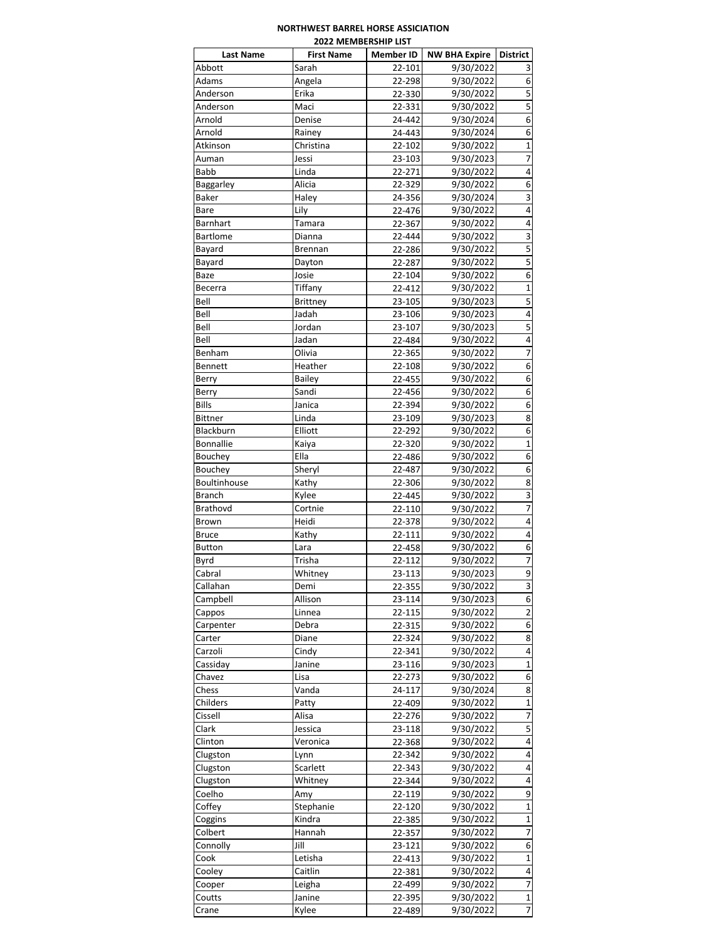## **NORTHWEST BARREL HORSE ASSICIATION 2022 MEMBERSHIP LIST**

| <b>Last Name</b> | <b>First Name</b>   | <b>Member ID</b> | <b>NW BHA Expire</b>   | <b>District</b>         |
|------------------|---------------------|------------------|------------------------|-------------------------|
| Abbott           | Sarah               | 22-101           | 9/30/2022              | 3                       |
| Adams            | Angela              | 22-298           | 9/30/2022              | 6                       |
| Anderson         | Erika               | 22-330           | 9/30/2022              | 5                       |
| Anderson         | Maci                | 22-331           | 9/30/2022              | 5                       |
| Arnold           | Denise              | 24-442           | 9/30/2024              | 6                       |
| Arnold           | Rainey              | 24-443           | 9/30/2024              | 6                       |
| Atkinson         | Christina           | 22-102           | 9/30/2022              | $\mathbf 1$             |
| Auman            | Jessi               | 23-103           | 9/30/2023              | 7                       |
| Babb             | Linda               | 22-271           | 9/30/2022              | 4                       |
| Baggarley        | Alicia              | 22-329           | 9/30/2022              | 6                       |
| <b>Baker</b>     | Haley               | 24-356           | 9/30/2024              | 3                       |
| Bare             | Lily                | 22-476           | 9/30/2022              | 4                       |
| <b>Barnhart</b>  | Tamara              | 22-367           | 9/30/2022              | 4                       |
| <b>Bartlome</b>  | Dianna              | 22-444           | 9/30/2022              | $\overline{\mathbf{3}}$ |
| Bayard           | Brennan             | 22-286           | 9/30/2022              | 5                       |
| Bayard           | Dayton              | 22-287           | 9/30/2022              | 5                       |
| Baze             | Josie               | 22-104           | 9/30/2022              | 6                       |
| Becerra          | Tiffany             | 22-412           | 9/30/2022              | $\mathbf{1}$            |
| Bell             | Brittney            | 23-105           | 9/30/2023              | 5                       |
| Bell             | Jadah               | 23-106           | 9/30/2023              | 4                       |
| Bell             | Jordan              | 23-107           | 9/30/2023              | 5                       |
| Bell             | Jadan               | 22-484           | 9/30/2022              | 4                       |
| Benham           | Olivia              | 22-365           | 9/30/2022              | 7                       |
| Bennett          | Heather             | 22-108           | 9/30/2022              | 6                       |
| Berry            | <b>Bailey</b>       | 22-455           | 9/30/2022              | 6                       |
| Berry            | Sandi               | 22-456           | 9/30/2022              | 6                       |
| Bills            | Janica              | 22-394           | 9/30/2022              | 6                       |
| <b>Bittner</b>   | Linda               | 23-109           | 9/30/2023              | 8                       |
| Blackburn        | Elliott             | 22-292           | 9/30/2022              | 6                       |
| <b>Bonnallie</b> | Kaiya               | 22-320           | 9/30/2022              | $\mathbf 1$             |
| Bouchey          | Ella                | 22-486           | 9/30/2022              | 6                       |
| Bouchey          | Sheryl              | 22-487           | 9/30/2022              | 6                       |
| Boultinhouse     | Kathy               | 22-306           | 9/30/2022              | 8                       |
| Branch           | Kylee               | 22-445           | 9/30/2022              | $\overline{\mathbf{3}}$ |
| <b>Brathovd</b>  | Cortnie             | 22-110           | 9/30/2022              | 7                       |
| Brown            | Heidi               | 22-378           | 9/30/2022              | 4                       |
| <b>Bruce</b>     | Kathy               | 22-111           | 9/30/2022              | 4                       |
| <b>Button</b>    | Lara                | 22-458           | 9/30/2022              | 6                       |
| Byrd             | Trisha              | 22-112           | 9/30/2022              | 7                       |
| Cabral           | Whitney             | 23-113           | 9/30/2023              | 9                       |
| Callahan         | Demi                | 22-355           | 9/30/2022              | 3                       |
| Campbell         | Allison             | 23-114           | 9/30/2023              | 6                       |
| Cappos           | Linnea              | 22-115           | 9/30/2022              | 2                       |
| Carpenter        | Debra               | 22-315           | 9/30/2022              | 6                       |
| Carter           | Diane               | 22-324           | 9/30/2022              | 8                       |
| Carzoli          | Cindy               | 22-341           | 9/30/2022              | 4                       |
| Cassiday         | Janine              | 23-116           | 9/30/2023              | $\mathbf 1$             |
| Chavez           | Lisa                | 22-273           | 9/30/2022              | 6                       |
| Chess            | Vanda               | 24-117           | 9/30/2024              | 8                       |
| Childers         | Patty               | 22-409           | 9/30/2022              | $\mathbf 1$             |
| Cissell          | Alisa               | 22-276           | 9/30/2022              | 7                       |
|                  |                     | 23-118           |                        | 5                       |
| Clark<br>Clinton | Jessica<br>Veronica | 22-368           | 9/30/2022<br>9/30/2022 | 4                       |
|                  |                     |                  |                        |                         |
| Clugston         | Lynn                | 22-342           | 9/30/2022              | 4<br>4                  |
| Clugston         | Scarlett            | 22-343           | 9/30/2022              |                         |
| Clugston         | Whitney             | 22-344           | 9/30/2022              | 4                       |
| Coelho           | Amy                 | 22-119           | 9/30/2022              | 9                       |
| Coffey           | Stephanie           | 22-120           | 9/30/2022              | $\mathbf{1}$            |
| Coggins          | Kindra              | 22-385           | 9/30/2022              | 1                       |
| Colbert          | Hannah              | 22-357           | 9/30/2022              | 7                       |
| Connolly         | Jill                | 23-121           | 9/30/2022              | 6                       |
| Cook             | Letisha             | 22-413           | 9/30/2022              | $\mathbf 1$             |
| Cooley           | Caitlin             | 22-381           | 9/30/2022              | $\overline{\mathbf{r}}$ |
| Cooper           | Leigha              | 22-499           | 9/30/2022              | $\overline{7}$          |
| Coutts           | Janine              | 22-395           | 9/30/2022              | $\mathbf 1$             |
| Crane            | Kylee               | 22-489           | 9/30/2022              | 7                       |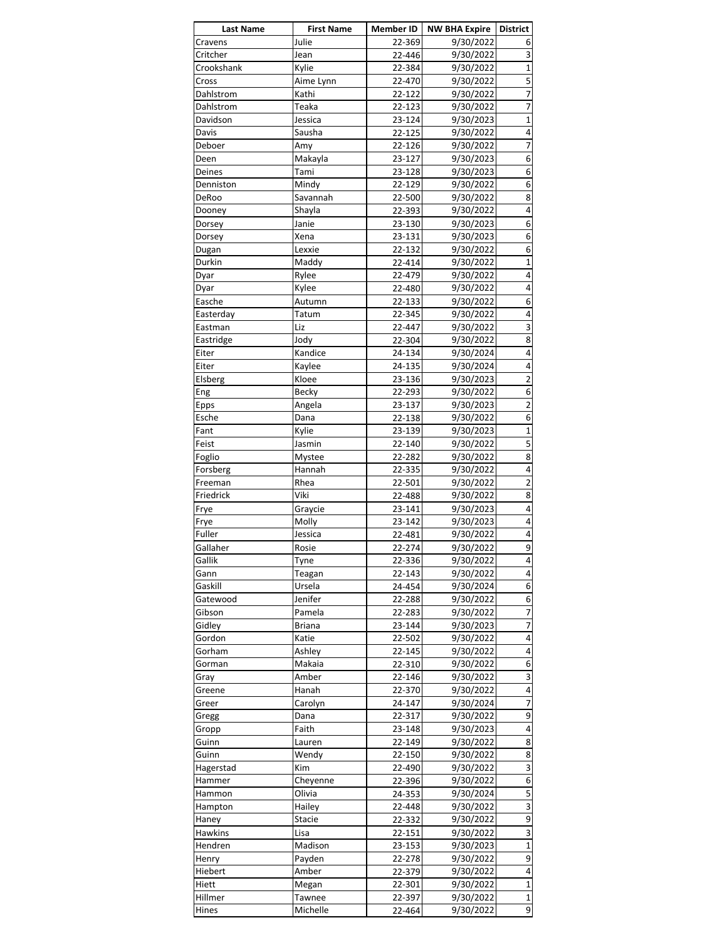| <b>Last Name</b> | <b>First Name</b> | Member ID | <b>NW BHA Expire   District</b> |                         |
|------------------|-------------------|-----------|---------------------------------|-------------------------|
| Cravens          | Julie             | 22-369    | 9/30/2022                       | 6                       |
| Critcher         | Jean              | 22-446    | 9/30/2022                       | 3                       |
| Crookshank       | Kylie             | 22-384    | 9/30/2022                       | $\mathbf{1}$            |
| Cross            | Aime Lynn         | 22-470    | 9/30/2022                       | 5                       |
| Dahlstrom        | Kathi             | 22-122    | 9/30/2022                       | $\overline{7}$          |
| Dahlstrom        | Teaka             | 22-123    | 9/30/2022                       | $\overline{7}$          |
|                  |                   |           |                                 |                         |
| Davidson         | Jessica           | 23-124    | 9/30/2023                       | $\mathbf{1}$            |
| Davis            | Sausha            | 22-125    | 9/30/2022                       | 4                       |
| Deboer           | Amy               | 22-126    | 9/30/2022                       | 7                       |
| Deen             | Makayla           | 23-127    | 9/30/2023                       | 6                       |
| Deines           | Tami              | 23-128    | 9/30/2023                       | 6                       |
| Denniston        | Mindy             | 22-129    | 9/30/2022                       | 6                       |
| DeRoo            | Savannah          | 22-500    | 9/30/2022                       | 8                       |
| Dooney           | Shayla            | 22-393    | 9/30/2022                       | 4                       |
|                  |                   |           |                                 |                         |
| Dorsey           | Janie             | 23-130    | 9/30/2023                       | 6                       |
| Dorsey           | Xena              | 23-131    | 9/30/2023                       | 6                       |
| Dugan            | Lexxie            | 22-132    | 9/30/2022                       | 6                       |
| Durkin           | Maddy             | 22-414    | 9/30/2022                       | 1                       |
| Dyar             | Rylee             | 22-479    | 9/30/2022                       | 4                       |
| Dyar             | Kylee             | 22-480    | 9/30/2022                       | 4                       |
| Easche           | Autumn            | 22-133    | 9/30/2022                       | 6                       |
| Easterday        | Tatum             | 22-345    | 9/30/2022                       | 4                       |
|                  | Liz               | 22-447    |                                 | 3                       |
| Eastman          |                   |           | 9/30/2022                       |                         |
| Eastridge        | Jody              | 22-304    | 9/30/2022                       | 8                       |
| Eiter            | Kandice           | 24-134    | 9/30/2024                       | 4                       |
| Eiter            | Kaylee            | 24-135    | 9/30/2024                       | 4                       |
| Elsberg          | Kloee             | 23-136    | 9/30/2023                       | $\overline{2}$          |
| Eng              | Becky             | 22-293    | 9/30/2022                       | 6                       |
| Epps             | Angela            | 23-137    | 9/30/2023                       | $\overline{\mathbf{c}}$ |
| Esche            | Dana              | 22-138    | 9/30/2022                       | 6                       |
| Fant             | Kylie             | 23-139    | 9/30/2023                       | $\mathbf{1}$            |
|                  |                   |           |                                 |                         |
| Feist            | Jasmin            | 22-140    | 9/30/2022                       | 5                       |
| Foglio           | Mystee            | 22-282    | 9/30/2022                       | 8                       |
| Forsberg         | Hannah            | 22-335    | 9/30/2022                       | 4                       |
| Freeman          | Rhea              | 22-501    | 9/30/2022                       | $\overline{\mathbf{c}}$ |
| Friedrick        | Viki              | 22-488    | 9/30/2022                       | 8                       |
| Frye             | Graycie           | 23-141    | 9/30/2023                       | 4                       |
| Frye             | Molly             | 23-142    | 9/30/2023                       | 4                       |
| Fuller           | Jessica           | 22-481    | 9/30/2022                       | 4                       |
|                  | Rosie             | 22-274    |                                 | 9                       |
| Gallaher         |                   |           | 9/30/2022                       |                         |
| Gallik           | Tyne              | 22-336    | 9/30/2022                       | 4                       |
| Gann             | Teagan            | 22-143    | 9/30/2022                       | 4                       |
| Gaskill          | Ursela            | 24-454    | 9/30/2024                       | 6                       |
| Gatewood         | Jenifer           | 22-288    | 9/30/2022                       | 6                       |
| Gibson           | Pamela            | 22-283    | 9/30/2022                       | 7                       |
| Gidley           | Briana            | 23-144    | 9/30/2023                       | 7                       |
| Gordon           | Katie             | 22-502    | 9/30/2022                       | 4                       |
| Gorham           | Ashley            | 22-145    | 9/30/2022                       | 4                       |
|                  |                   |           |                                 |                         |
| Gorman           | Makaia            | 22-310    | 9/30/2022                       | 6                       |
| Gray             | Amber             | 22-146    | 9/30/2022                       | $\overline{\mathbf{3}}$ |
| Greene           | Hanah             | 22-370    | 9/30/2022                       | $\pmb{4}$               |
| Greer            | Carolyn           | 24-147    | 9/30/2024                       | 7                       |
| Gregg            | Dana              | 22-317    | 9/30/2022                       | $\overline{9}$          |
| Gropp            | Faith             | 23-148    | 9/30/2023                       | 4                       |
| Guinn            | Lauren            | 22-149    | 9/30/2022                       | 8                       |
| Guinn            | Wendy             | 22-150    | 9/30/2022                       | 8                       |
|                  |                   |           |                                 | 3                       |
| Hagerstad        | Kim               | 22-490    | 9/30/2022                       |                         |
| Hammer           | Cheyenne          | 22-396    | 9/30/2022                       | 6                       |
| Hammon           | Olivia            | 24-353    | 9/30/2024                       | 5                       |
| Hampton          | Hailey            | 22-448    | 9/30/2022                       | 3                       |
| Haney            | Stacie            | 22-332    | 9/30/2022                       | $\overline{9}$          |
| Hawkins          | Lisa              | 22-151    | 9/30/2022                       | 3                       |
| Hendren          | Madison           | 23-153    | 9/30/2023                       | $\mathbf{1}$            |
|                  |                   | 22-278    | 9/30/2022                       | 9                       |
| Henry            | Payden            |           |                                 |                         |
| Hiebert          | Amber             | 22-379    | 9/30/2022                       | 4                       |
| Hiett            | Megan             | 22-301    | 9/30/2022                       | $\overline{\mathbf{1}}$ |
| Hillmer          | Tawnee            | 22-397    | 9/30/2022                       | $\mathbf{1}$            |
| Hines            | Michelle          | 22-464    | 9/30/2022                       | 9                       |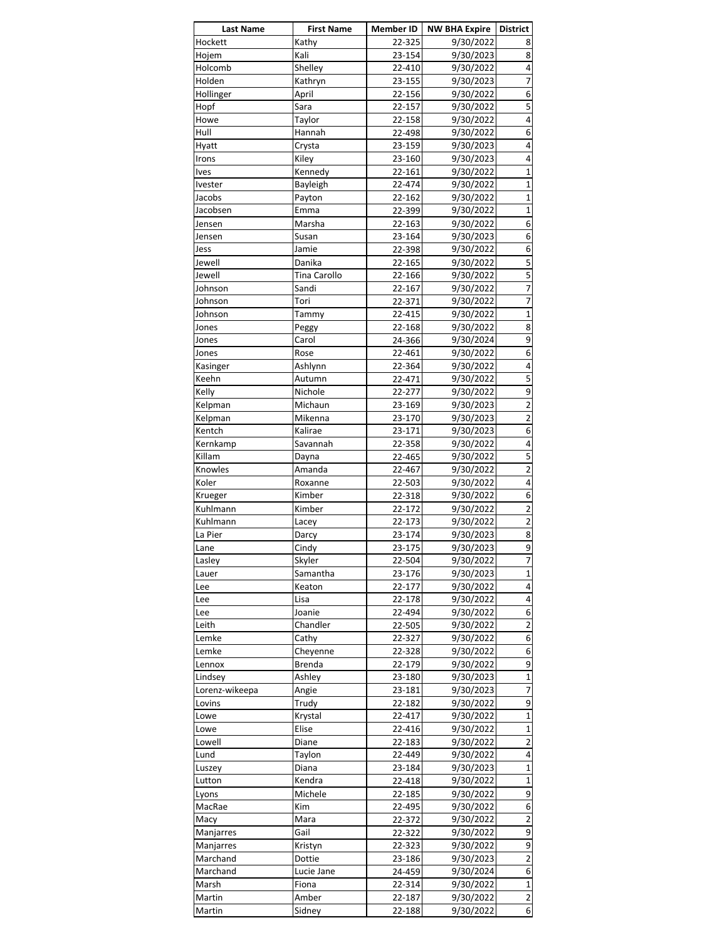| <b>Last Name</b>            | <b>First Name</b> | Member ID        | NW BHA Expire          | <b>District</b>                |
|-----------------------------|-------------------|------------------|------------------------|--------------------------------|
| Hockett                     | Kathy             | 22-325           | 9/30/2022              | 8                              |
| Hojem                       | Kali              | 23-154           | 9/30/2023              | 8                              |
| Holcomb                     | Shelley           | 22-410           | 9/30/2022              | 4                              |
| Holden                      | Kathryn           | 23-155           | 9/30/2023              | 7                              |
| Hollinger                   | April             | 22-156           | 9/30/2022              | 6                              |
| Hopf                        | Sara              | 22-157           | 9/30/2022              | 5                              |
| Howe                        | Taylor            | 22-158           | 9/30/2022              | 4                              |
| Hull                        | Hannah            | 22-498           | 9/30/2022              | 6                              |
| Hyatt                       | Crysta            | 23-159           | 9/30/2023              | 4                              |
| Irons                       | Kiley             | 23-160           | 9/30/2023              | 4                              |
| Ives                        | Kennedy           | 22-161           | 9/30/2022              | $\mathbf{1}$                   |
| Ivester                     | <b>Bayleigh</b>   | 22-474           | 9/30/2022              | $\mathbf{1}$                   |
| Jacobs                      | Payton            | 22-162           | 9/30/2022              | $\mathbf{1}$                   |
| Jacobsen                    | Emma              | 22-399           | 9/30/2022              | $\mathbf{1}$                   |
| Jensen                      | Marsha            | 22-163           | 9/30/2022              | 6                              |
| Jensen                      | Susan             | 23-164           | 9/30/2023              | 6                              |
| Jess                        | Jamie             | 22-398           | 9/30/2022              | 6                              |
| Jewell                      | Danika            | 22-165           | 9/30/2022              | 5                              |
| Jewell                      | Tina Carollo      | 22-166           | 9/30/2022              | 5                              |
| Johnson                     | Sandi             | 22-167           | 9/30/2022              | 7                              |
| Johnson                     | Tori              |                  | 9/30/2022              | 7                              |
|                             |                   | 22-371           |                        | $\overline{1}$                 |
| Johnson                     | Tammy             | 22-415           | 9/30/2022              |                                |
| Jones                       | Peggy             | 22-168           | 9/30/2022              | 8                              |
| Jones                       | Carol             | 24-366           | 9/30/2024              | 9                              |
| Jones                       | Rose              | 22-461           | 9/30/2022              | 6                              |
| Kasinger                    | Ashlynn           | 22-364           | 9/30/2022              | 4                              |
| Keehn                       | Autumn            | 22-471           | 9/30/2022              | 5                              |
| Kelly                       | Nichole           | 22-277           | 9/30/2022              | 9                              |
| Kelpman                     | Michaun           | 23-169           | 9/30/2023              | $\overline{2}$                 |
| Kelpman                     | Mikenna           | 23-170           | 9/30/2023              | $\overline{2}$                 |
| Kentch                      | Kalirae           | 23-171           | 9/30/2023              | 6                              |
| Kernkamp                    | Savannah          | 22-358           | 9/30/2022              | 4                              |
| Killam                      | Dayna             | 22-465           | 9/30/2022              | 5                              |
| Knowles                     | Amanda            | 22-467           | 9/30/2022              | $\overline{2}$                 |
| Koler                       | Roxanne           | 22-503           | 9/30/2022              | 4                              |
| Krueger                     | Kimber            | 22-318           | 9/30/2022              | 6                              |
| Kuhlmann                    | Kimber            | 22-172           | 9/30/2022              | $\overline{2}$                 |
| Kuhlmann                    | Lacey             | 22-173           | 9/30/2022              | $\overline{\mathbf{c}}$        |
| La Pier                     | Darcy             | 23-174           | 9/30/2023              | 8                              |
| Lane                        | Cindy             | 23-175           | 9/30/2023              | 9                              |
| Lasley                      | Skyler            | 22-504           | 9/30/2022              | 7                              |
| Lauer                       | Samantha          | 23-176           | 9/30/2023              | $\mathbf{1}$                   |
| Lee                         | Keaton            | 22-177           | 9/30/2022              | 4                              |
| Lee                         | Lisa              | 22-178           | 9/30/2022              | $\overline{4}$                 |
| Lee                         | Joanie            | 22-494           | 9/30/2022              | 6                              |
|                             |                   |                  | 9/30/2022              | $\overline{2}$                 |
| Leith                       | Chandler          | 22-505           |                        |                                |
| Lemke                       | Cathy             | 22-327           | 9/30/2022              | 6                              |
| Lemke                       | Cheyenne          | 22-328           | 9/30/2022              | 6                              |
| Lennox                      | <b>Brenda</b>     | 22-179           | 9/30/2022              | 9                              |
| Lindsey                     | Ashley            | 23-180           | 9/30/2023              | $\mathbf{1}$                   |
| Lorenz-wikeepa              | Angie             | 23-181           | 9/30/2023              | $\overline{7}$                 |
| Lovins                      | Trudy             | 22-182           | 9/30/2022              | 9                              |
| Lowe                        | Krystal           | 22-417           | 9/30/2022              | $\mathbf{1}$                   |
| Lowe                        | Elise             | 22-416           | 9/30/2022              | $\mathbf{1}$                   |
| Lowell                      | Diane             | 22-183           | 9/30/2022              | $\overline{2}$                 |
| Lund                        | Taylon            | 22-449           | 9/30/2022              | $\overline{4}$                 |
| Luszey                      | Diana             | 23-184           | 9/30/2023              | $\mathbf{1}$                   |
| Lutton                      | Kendra            | 22-418           | 9/30/2022              | $\mathbf{1}$                   |
| Lyons                       | Michele           | 22-185           | 9/30/2022              | 9                              |
| MacRae                      | Kim               | 22-495           | 9/30/2022              | 6                              |
| Macy                        | Mara              | 22-372           | 9/30/2022              | $\overline{2}$                 |
| Manjarres                   | Gail              | 22-322           | 9/30/2022              | 9                              |
| Manjarres                   | Kristyn           | 22-323           | 9/30/2022              | 9                              |
| Marchand                    | Dottie            | 23-186           | 9/30/2023              | $\overline{2}$                 |
|                             |                   | 24-459           | 9/30/2024              | 6                              |
|                             |                   |                  |                        |                                |
|                             | Lucie Jane        |                  |                        |                                |
| Marchand<br>Marsh<br>Martin | Fiona<br>Amber    | 22-314<br>22-187 | 9/30/2022<br>9/30/2022 | $\mathbf{1}$<br>$\overline{2}$ |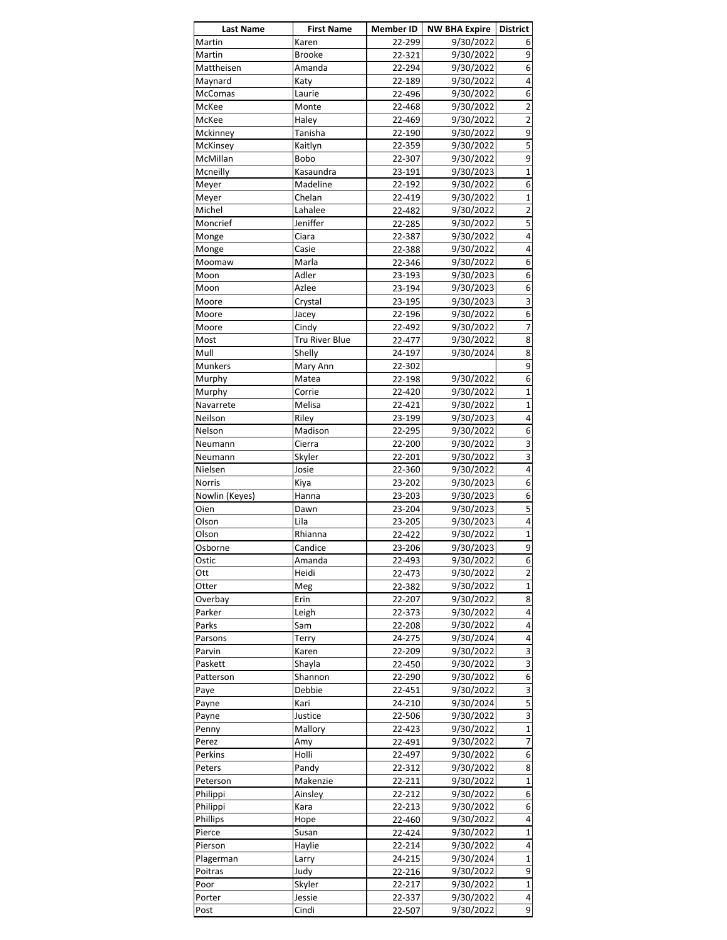| <b>Last Name</b> | <b>First Name</b>     | <b>Member ID</b> | NW BHA Expire   District |                                      |
|------------------|-----------------------|------------------|--------------------------|--------------------------------------|
| Martin           | Karen                 | 22-299           | 9/30/2022                | 6                                    |
| Martin           | <b>Brooke</b>         | 22-321           | 9/30/2022                | 9                                    |
| Mattheisen       | Amanda                | 22-294           | 9/30/2022                | 6                                    |
| Maynard          | Katy                  | 22-189           | 9/30/2022                | 4                                    |
| McComas          | Laurie                | 22-496           | 9/30/2022                | 6                                    |
| McKee            | Monte                 | 22-468           | 9/30/2022                | $\overline{2}$                       |
| McKee            | Haley                 | 22-469           | 9/30/2022                | $\overline{\mathbf{c}}$              |
| Mckinney         | Tanisha               | 22-190           | 9/30/2022                | 9                                    |
| McKinsey         | Kaitlyn               | 22-359           | 9/30/2022                | $\overline{\overline{\overline{5}}}$ |
| McMillan         | Bobo                  | 22-307           | 9/30/2022                | 9                                    |
| Mcneilly         | Kasaundra             | 23-191           | 9/30/2023                | $\mathbf{1}$                         |
| Meyer            | Madeline              | 22-192           | 9/30/2022                | 6                                    |
| Meyer            | Chelan                | 22-419           | 9/30/2022                | $\mathbf{1}$                         |
| Michel           | Lahalee               | 22-482           | 9/30/2022                | 2                                    |
| Moncrief         | Jeniffer              | 22-285           | 9/30/2022                | 5                                    |
| Monge            | Ciara                 | 22-387           | 9/30/2022                | 4                                    |
|                  |                       |                  |                          |                                      |
| Monge            | Casie                 | 22-388           | 9/30/2022                | 4                                    |
| Moomaw           | Marla                 | 22-346           | 9/30/2022                | 6                                    |
| Moon             | Adler                 | 23-193           | 9/30/2023                | 6                                    |
| Moon             | Azlee                 | 23-194           | 9/30/2023                | 6                                    |
| Moore            | Crystal               | 23-195           | 9/30/2023                | 3                                    |
| Moore            | Jacey                 | 22-196           | 9/30/2022                | 6                                    |
| Moore            | Cindy                 | 22-492           | 9/30/2022                | 7                                    |
| Most             | <b>Tru River Blue</b> | 22-477           | 9/30/2022                | 8                                    |
| Mull             | Shelly                | 24-197           | 9/30/2024                | 8                                    |
| Munkers          | Mary Ann              | 22-302           |                          | 9                                    |
| Murphy           | Matea                 | 22-198           | 9/30/2022                | 6                                    |
| Murphy           | Corrie                | 22-420           | 9/30/2022                | 1                                    |
| Navarrete        | Melisa                | 22-421           | 9/30/2022                | $\overline{1}$                       |
| Neilson          | Riley                 | 23-199           | 9/30/2023                | 4                                    |
| Nelson           | Madison               | 22-295           | 9/30/2022                | 6                                    |
| Neumann          | Cierra                | 22-200           | 9/30/2022                | 3                                    |
| Neumann          | Skyler                | 22-201           | 9/30/2022                | $\overline{\mathbf{3}}$              |
| Nielsen          | Josie                 | 22-360           | 9/30/2022                | 4                                    |
| <b>Norris</b>    | Kiya                  | 23-202           | 9/30/2023                | 6                                    |
| Nowlin (Keyes)   | Hanna                 | 23-203           | 9/30/2023                | 6                                    |
| Oien             | Dawn                  | 23-204           | 9/30/2023                | $\overline{5}$                       |
| Olson            | Lila                  | 23-205           | 9/30/2023                | 4                                    |
|                  |                       | 22-422           | 9/30/2022                | $\mathbf{1}$                         |
| Olson            | Rhianna               |                  |                          |                                      |
| Osborne          | Candice               | 23-206           | 9/30/2023                | 9                                    |
| Ostic            | Amanda                | 22-493           | 9/30/2022                | 6                                    |
| Ott              | Heidi                 | 22-473           | 9/30/2022                | $\overline{2}$                       |
| Otter            | Meg                   | 22-382           | 9/30/2022                | $\overline{1}$                       |
| Overbay          | Erin                  | 22-207           | 9/30/2022                | 8                                    |
| Parker           | Leigh                 | 22-373           | 9/30/2022                | 4                                    |
| Parks            | Sam                   | 22-208           | 9/30/2022                | 4                                    |
| Parsons          | Terry                 | 24-275           | 9/30/2024                | 4                                    |
| Parvin           | Karen                 | 22-209           | 9/30/2022                | 3                                    |
| Paskett          | Shayla                | 22-450           | 9/30/2022                | 3                                    |
| Patterson        | Shannon               | 22-290           | 9/30/2022                | 6                                    |
| Paye             | Debbie                | 22-451           | 9/30/2022                | 3                                    |
| Payne            | Kari                  | 24-210           | 9/30/2024                | 5                                    |
| Payne            | Justice               | 22-506           | 9/30/2022                | $\overline{\mathbf{3}}$              |
| Penny            | Mallory               | 22-423           | 9/30/2022                | $\mathbf{1}$                         |
| Perez            | Amy                   | 22-491           | 9/30/2022                | $\overline{7}$                       |
| Perkins          | Holli                 | 22-497           | 9/30/2022                | 6                                    |
| Peters           | Pandy                 | 22-312           | 9/30/2022                | 8                                    |
| Peterson         | Makenzie              | 22-211           | 9/30/2022                | $\mathbf{1}$                         |
|                  |                       |                  |                          |                                      |
| Philippi         | Ainsley               | 22-212           | 9/30/2022                | 6<br>6                               |
| Philippi         | Kara                  | 22-213           | 9/30/2022                | $\overline{4}$                       |
| Phillips         | Hope                  | 22-460           | 9/30/2022                |                                      |
| Pierce           | Susan                 | 22-424           | 9/30/2022                | $\mathbf{1}$                         |
| Pierson          | Haylie                | 22-214           | 9/30/2022                | 4                                    |
| Plagerman        | Larry                 | 24-215           | 9/30/2024                | $\mathbf{1}$                         |
| Poitras          | Judy                  | 22-216           | 9/30/2022                | 9                                    |
| Poor             | Skyler                | 22-217           | 9/30/2022                | $\mathbf{1}$                         |
|                  |                       |                  |                          |                                      |
| Porter           | Jessie                | 22-337           | 9/30/2022                | $\overline{\mathbf{r}}$              |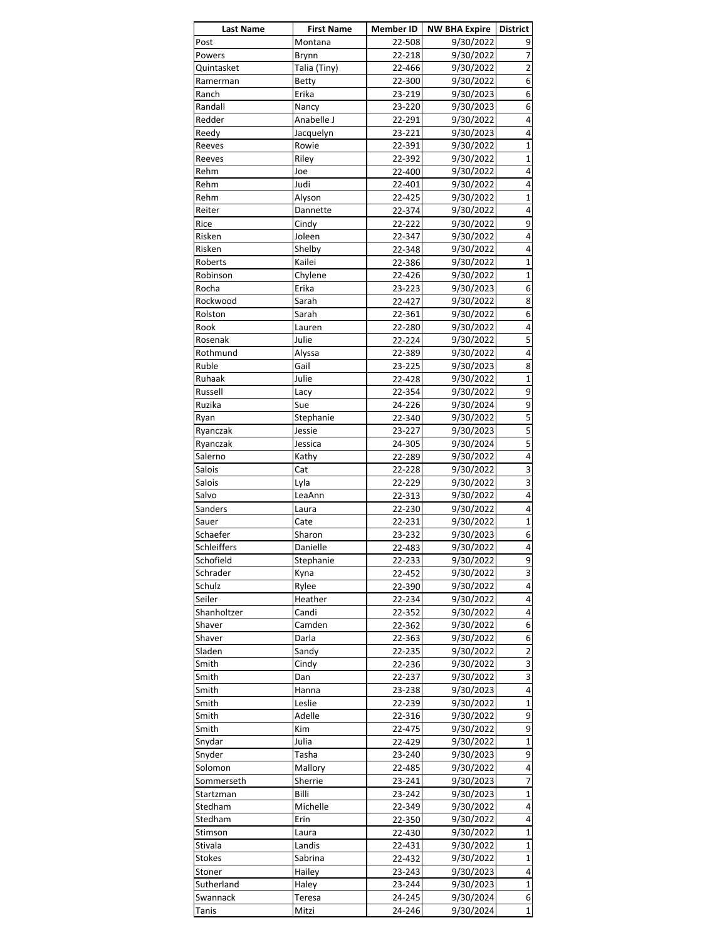| <b>Last Name</b> | <b>First Name</b> | Member ID        | <b>NW BHA Expire   District</b> |                              |
|------------------|-------------------|------------------|---------------------------------|------------------------------|
| Post             | Montana           | 22-508           | 9/30/2022                       | 9                            |
| Powers           | Brynn             | 22-218           | 9/30/2022                       | 7                            |
| Quintasket       | Talia (Tiny)      | 22-466           | 9/30/2022                       | $\overline{\mathbf{c}}$      |
| Ramerman         | <b>Betty</b>      | 22-300           | 9/30/2022                       | $\overline{6}$               |
| Ranch            | Erika             | 23-219           | 9/30/2023                       | 6                            |
| Randall          | Nancy             | 23-220           | 9/30/2023                       | 6                            |
| Redder           | Anabelle J        | 22-291           | 9/30/2022                       | 4                            |
| Reedy            | Jacquelyn         | 23-221           | 9/30/2023                       | 4                            |
| Reeves           | Rowie             | 22-391           | 9/30/2022                       | $\mathbf{1}$                 |
| Reeves           | Riley             | 22-392           | 9/30/2022                       | $\mathbf{1}$                 |
| Rehm             | Joe               | 22-400           | 9/30/2022                       | $\overline{4}$               |
| Rehm             | Judi              | 22-401           | 9/30/2022                       | 4                            |
| Rehm             | Alyson            | 22-425           | 9/30/2022                       | $\mathbf{1}$                 |
| Reiter           | Dannette          | 22-374           | 9/30/2022                       | 4                            |
| Rice             | Cindy             | 22-222           | 9/30/2022                       | 9                            |
| Risken           | Joleen            | 22-347           | 9/30/2022                       | $\overline{4}$               |
| Risken           | Shelby            | 22-348           | 9/30/2022                       | 4                            |
| Roberts          | Kailei            | 22-386           | 9/30/2022                       | $\mathbf{1}$                 |
| Robinson         | Chylene           | 22-426           | 9/30/2022                       | $\mathbf{1}$                 |
| Rocha            | Erika             | 23-223           | 9/30/2023                       | 6                            |
| Rockwood         | Sarah             |                  | 9/30/2022                       | 8                            |
| Rolston          | Sarah             | 22-427<br>22-361 | 9/30/2022                       | $\overline{6}$               |
| Rook             | Lauren            |                  | 9/30/2022                       | 4                            |
| Rosenak          | Julie             | 22-280<br>22-224 | 9/30/2022                       | 5                            |
|                  |                   |                  |                                 | 4                            |
| Rothmund         | Alyssa            | 22-389           | 9/30/2022                       |                              |
| Ruble            | Gail              | 23-225           | 9/30/2023                       | 8<br>$\overline{\mathbf{1}}$ |
| Ruhaak           | Julie             | 22-428           | 9/30/2022                       |                              |
| Russell          | Lacy              | 22-354           | 9/30/2022                       | $\overline{9}$               |
| Ruzika           | Sue               | 24-226           | 9/30/2024                       | $\overline{9}$               |
| Ryan             | Stephanie         | 22-340           | 9/30/2022                       | $\overline{5}$               |
| Ryanczak         | Jessie            | 23-227           | 9/30/2023                       | $\overline{5}$               |
| Ryanczak         | Jessica           | 24-305           | 9/30/2024                       | $\overline{\mathbf{5}}$      |
| Salerno          | Kathy             | 22-289           | 9/30/2022                       | 4                            |
| Salois           | Cat               | 22-228           | 9/30/2022                       | 3                            |
| Salois           | Lyla              | 22-229           | 9/30/2022                       | 3                            |
| Salvo            | LeaAnn            | 22-313           | 9/30/2022                       | 4                            |
| Sanders          | Laura             | 22-230           | 9/30/2022                       | $\overline{4}$               |
| Sauer            | Cate              | 22-231           | 9/30/2022                       | $\overline{\mathbf{1}}$      |
| Schaefer         | Sharon            | 23-232           | 9/30/2023                       | $\overline{6}$               |
| Schleiffers      | Danielle          | 22-483           | 9/30/2022                       | $\pmb{4}$                    |
| Schofield        | Stephanie         | 22-233           | 9/30/2022                       | 9                            |
| Schrader         | Kyna              | 22-452           | 9/30/2022                       | $\overline{\mathbf{3}}$      |
| Schulz           | Rylee             | 22-390           | 9/30/2022                       | $\overline{\mathbf{r}}$      |
| Seiler           | Heather           | 22-234           | 9/30/2022                       | 4                            |
| Shanholtzer      | Candi             | 22-352           | 9/30/2022                       | $\overline{4}$               |
| Shaver           | Camden            | 22-362           | 9/30/2022                       | $\overline{6}$               |
| Shaver           | Darla             | 22-363           | 9/30/2022                       | 6                            |
| Sladen           | Sandy             | 22-235           | 9/30/2022                       | $\overline{2}$               |
| Smith            | Cindy             | 22-236           | 9/30/2022                       | 3                            |
| Smith            | Dan               | 22-237           | 9/30/2022                       | $\overline{\mathbf{3}}$      |
| Smith            | Hanna             | 23-238           | 9/30/2023                       | 4                            |
| Smith            | Leslie            | 22-239           | 9/30/2022                       | $\mathbf{1}$                 |
| Smith            | Adelle            | 22-316           | 9/30/2022                       | 9                            |
| Smith            | Kim               | 22-475           | 9/30/2022                       | 9                            |
| Snydar           | Julia             | 22-429           | 9/30/2022                       | $\overline{1}$               |
| Snyder           | Tasha             | 23-240           | 9/30/2023                       | 9                            |
| Solomon          | Mallory           | 22-485           | 9/30/2022                       | $\overline{\mathbf{r}}$      |
| Sommerseth       | Sherrie           | 23-241           | 9/30/2023                       | $\overline{7}$               |
| Startzman        | Billi             | 23-242           | 9/30/2023                       | $\mathbf{1}$                 |
| Stedham          | Michelle          | 22-349           | 9/30/2022                       | $\overline{\mathbf{r}}$      |
| Stedham          | Erin              | 22-350           | 9/30/2022                       | $\overline{4}$               |
| Stimson          | Laura             | 22-430           | 9/30/2022                       | $\overline{1}$               |
| Stivala          | Landis            | 22-431           | 9/30/2022                       | $\mathbf{1}$                 |
| <b>Stokes</b>    | Sabrina           | 22-432           | 9/30/2022                       | $\mathbf{1}$                 |
| Stoner           | Hailey            | 23-243           | 9/30/2023                       | 4                            |
| Sutherland       | Haley             | 23-244           | 9/30/2023                       | $\overline{\mathbf{1}}$      |
| Swannack         | Teresa            | 24-245           | 9/30/2024                       | 6                            |
| Tanis            | Mitzi             | 24-246           | 9/30/2024                       | $\mathbf{1}$                 |
|                  |                   |                  |                                 |                              |